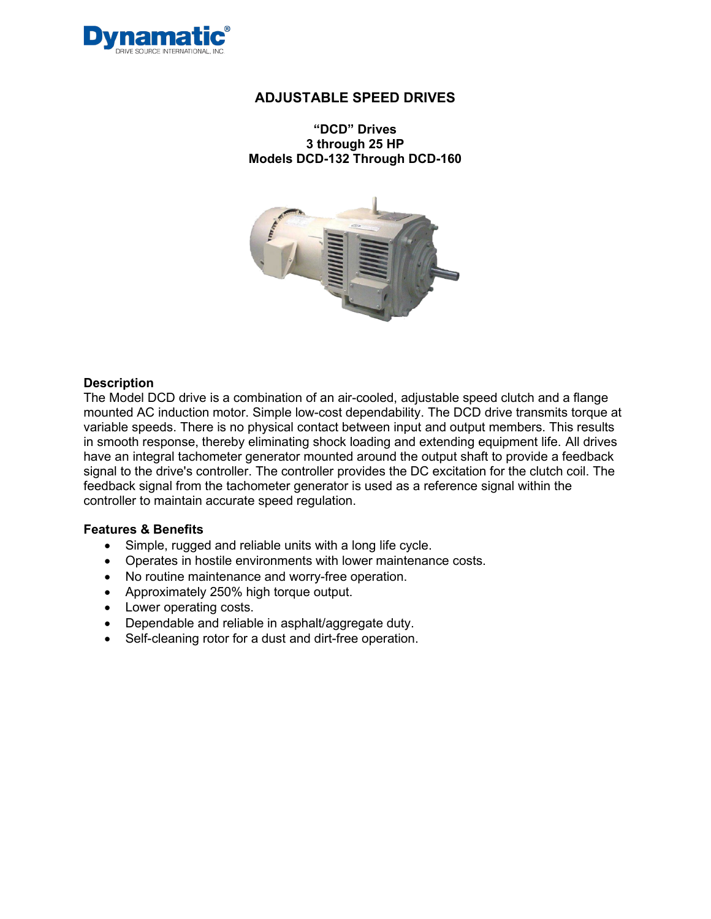

**"DCD" Drives 3 through 25 HP Models DCD-132 Through DCD-160**



#### **Description**

The Model DCD drive is a combination of an air-cooled, adjustable speed clutch and a flange mounted AC induction motor. Simple low-cost dependability. The DCD drive transmits torque at variable speeds. There is no physical contact between input and output members. This results in smooth response, thereby eliminating shock loading and extending equipment life. All drives have an integral tachometer generator mounted around the output shaft to provide a feedback signal to the drive's controller. The controller provides the DC excitation for the clutch coil. The feedback signal from the tachometer generator is used as a reference signal within the controller to maintain accurate speed regulation.

#### **Features & Benefits**

- Simple, rugged and reliable units with a long life cycle.
- Operates in hostile environments with lower maintenance costs.
- No routine maintenance and worry-free operation.
- Approximately 250% high torque output.
- Lower operating costs.
- Dependable and reliable in asphalt/aggregate duty.
- Self-cleaning rotor for a dust and dirt-free operation.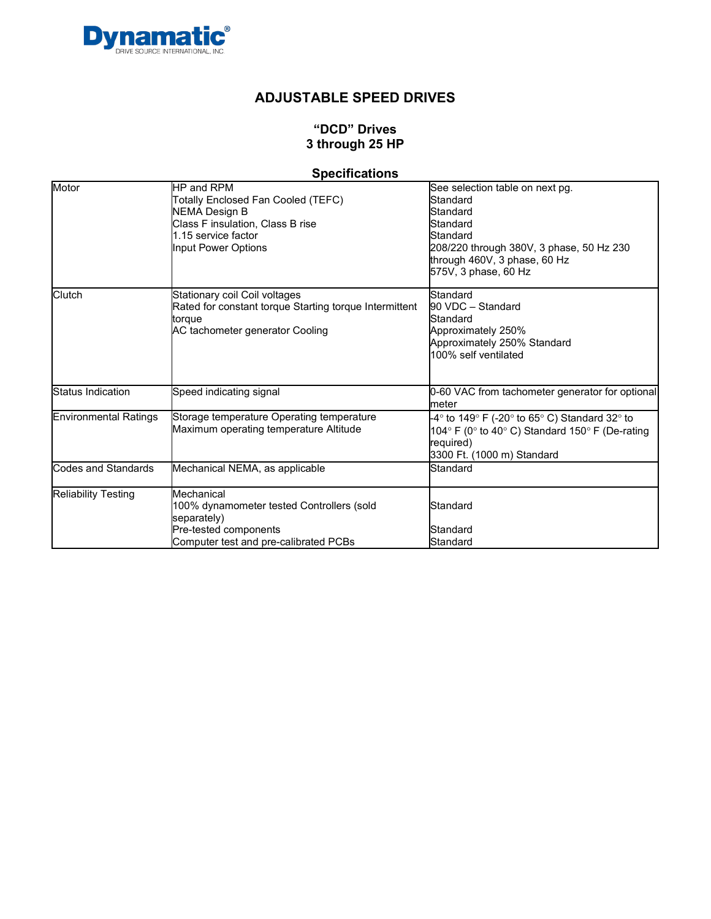

# **"DCD" Drives 3 through 25 HP**

# **Specifications**

| Motor                        | HP and RPM<br>Totally Enclosed Fan Cooled (TEFC)<br><b>NEMA Design B</b><br>Class F insulation, Class B rise<br>1.15 service factor<br>Input Power Options | See selection table on next pg.<br>Standard<br>Standard<br>Standard<br>Standard<br>208/220 through 380V, 3 phase, 50 Hz 230<br>through 460V, 3 phase, 60 Hz<br>575V, 3 phase, 60 Hz |
|------------------------------|------------------------------------------------------------------------------------------------------------------------------------------------------------|-------------------------------------------------------------------------------------------------------------------------------------------------------------------------------------|
| Clutch                       | Stationary coil Coil voltages<br>Rated for constant torque Starting torque Intermittent<br>torque<br>AC tachometer generator Cooling                       | Standard<br>90 VDC - Standard<br>Standard<br>Approximately 250%<br>Approximately 250% Standard<br>100% self ventilated                                                              |
| Status Indication            | Speed indicating signal                                                                                                                                    | 0-60 VAC from tachometer generator for optional<br>meter                                                                                                                            |
| <b>Environmental Ratings</b> | Storage temperature Operating temperature<br>Maximum operating temperature Altitude                                                                        | -4° to 149° F (-20° to 65° C) Standard 32° to<br>104° F (0° to 40° C) Standard 150° F (De-rating<br>required)<br>3300 Ft. (1000 m) Standard                                         |
| Codes and Standards          | Mechanical NEMA, as applicable                                                                                                                             | Standard                                                                                                                                                                            |
| <b>Reliability Testing</b>   | Mechanical<br>100% dynamometer tested Controllers (sold<br>separately)<br>Pre-tested components<br>Computer test and pre-calibrated PCBs                   | Standard<br>Standard<br>Standard                                                                                                                                                    |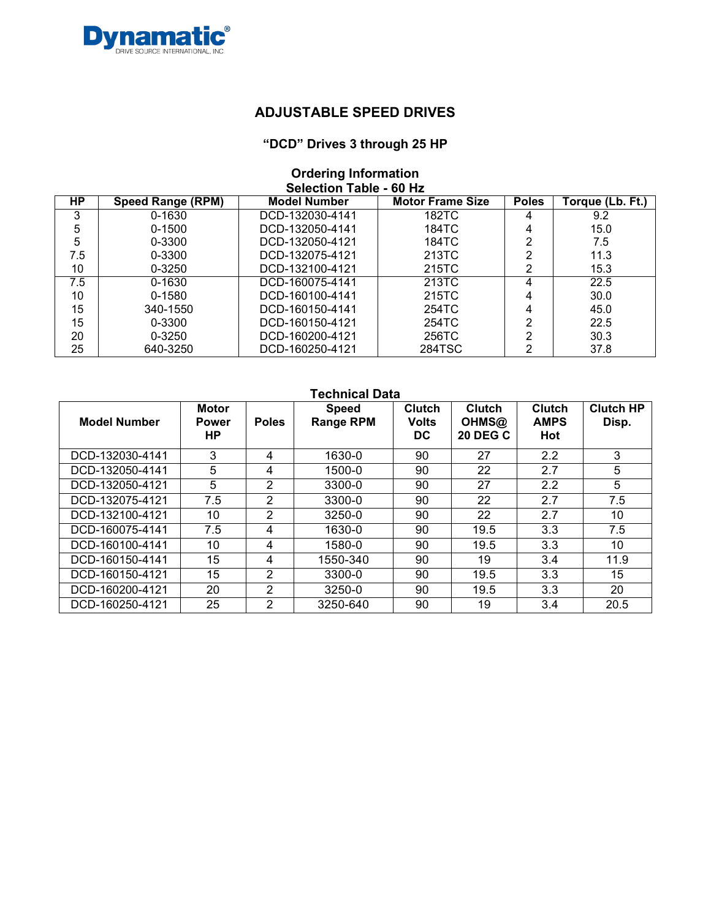

#### **"DCD" Drives 3 through 25 HP**

#### **Ordering Information Selection Table - 60 Hz**

| HP  | <b>Speed Range (RPM)</b> | <b>Model Number</b> | <b>Motor Frame Size</b> | <b>Poles</b> | Torque (Lb. Ft.) |
|-----|--------------------------|---------------------|-------------------------|--------------|------------------|
| 3   | 0-1630                   | DCD-132030-4141     | 182TC                   | 4            | 9.2              |
| 5   | $0 - 1500$               | DCD-132050-4141     | 184TC                   | 4            | 15.0             |
| 5   | 0-3300                   | DCD-132050-4121     | 184TC                   | ⌒            | 7.5              |
| 7.5 | 0-3300                   | DCD-132075-4121     | 213TC                   | ⌒            | 11.3             |
| 10  | $0 - 3250$               | DCD-132100-4121     | 215TC                   | っ            | 15.3             |
| 7.5 | $0 - 1630$               | DCD-160075-4141     | 213TC                   |              | 22.5             |
| 10  | $0 - 1580$               | DCD-160100-4141     | 215TC                   |              | 30.0             |
| 15  | 340-1550                 | DCD-160150-4141     | 254TC                   |              | 45.0             |
| 15  | 0-3300                   | DCD-160150-4121     | 254TC                   | ∩            | 22.5             |
| 20  | $0 - 3250$               | DCD-160200-4121     | 256TC                   | ∩            | 30.3             |
| 25  | 640-3250                 | DCD-160250-4121     | 284TSC                  | ⌒            | 37.8             |

| <b>Technical Data</b> |                                     |                |                                  |                                      |                                           |                                     |                           |  |  |  |  |
|-----------------------|-------------------------------------|----------------|----------------------------------|--------------------------------------|-------------------------------------------|-------------------------------------|---------------------------|--|--|--|--|
| <b>Model Number</b>   | <b>Motor</b><br><b>Power</b><br>HP. | <b>Poles</b>   | <b>Speed</b><br><b>Range RPM</b> | <b>Clutch</b><br><b>Volts</b><br>DC. | <b>Clutch</b><br>OHMS@<br><b>20 DEG C</b> | <b>Clutch</b><br><b>AMPS</b><br>Hot | <b>Clutch HP</b><br>Disp. |  |  |  |  |
| DCD-132030-4141       | 3                                   | 4              | 1630-0                           | 90                                   | 27                                        | 2.2                                 | 3                         |  |  |  |  |
| DCD-132050-4141       | 5                                   | 4              | 1500-0                           | 90                                   | 22                                        | 2.7                                 | 5                         |  |  |  |  |
| DCD-132050-4121       | 5                                   | 2              | 3300-0                           | 90                                   | 27                                        | 2.2                                 | 5                         |  |  |  |  |
| DCD-132075-4121       | 7.5                                 | 2              | 3300-0                           | 90                                   | 22                                        | 2.7                                 | 7.5                       |  |  |  |  |
| DCD-132100-4121       | 10                                  | $\overline{2}$ | $3250 - 0$                       | 90                                   | 22                                        | 2.7                                 | 10                        |  |  |  |  |
| DCD-160075-4141       | 7.5                                 | 4              | 1630-0                           | 90                                   | 19.5                                      | 3.3                                 | 7.5                       |  |  |  |  |
| DCD-160100-4141       | 10                                  | 4              | 1580-0                           | 90                                   | 19.5                                      | 3.3                                 | 10                        |  |  |  |  |
| DCD-160150-4141       | 15                                  | 4              | 1550-340                         | 90                                   | 19                                        | 3.4                                 | 11.9                      |  |  |  |  |
| DCD-160150-4121       | 15                                  | 2              | 3300-0                           | 90                                   | 19.5                                      | 3.3                                 | 15                        |  |  |  |  |
| DCD-160200-4121       | 20                                  | 2              | 3250-0                           | 90                                   | 19.5                                      | 3.3                                 | 20                        |  |  |  |  |
| DCD-160250-4121       | 25                                  | 2              | 3250-640                         | 90                                   | 19                                        | 3.4                                 | 20.5                      |  |  |  |  |